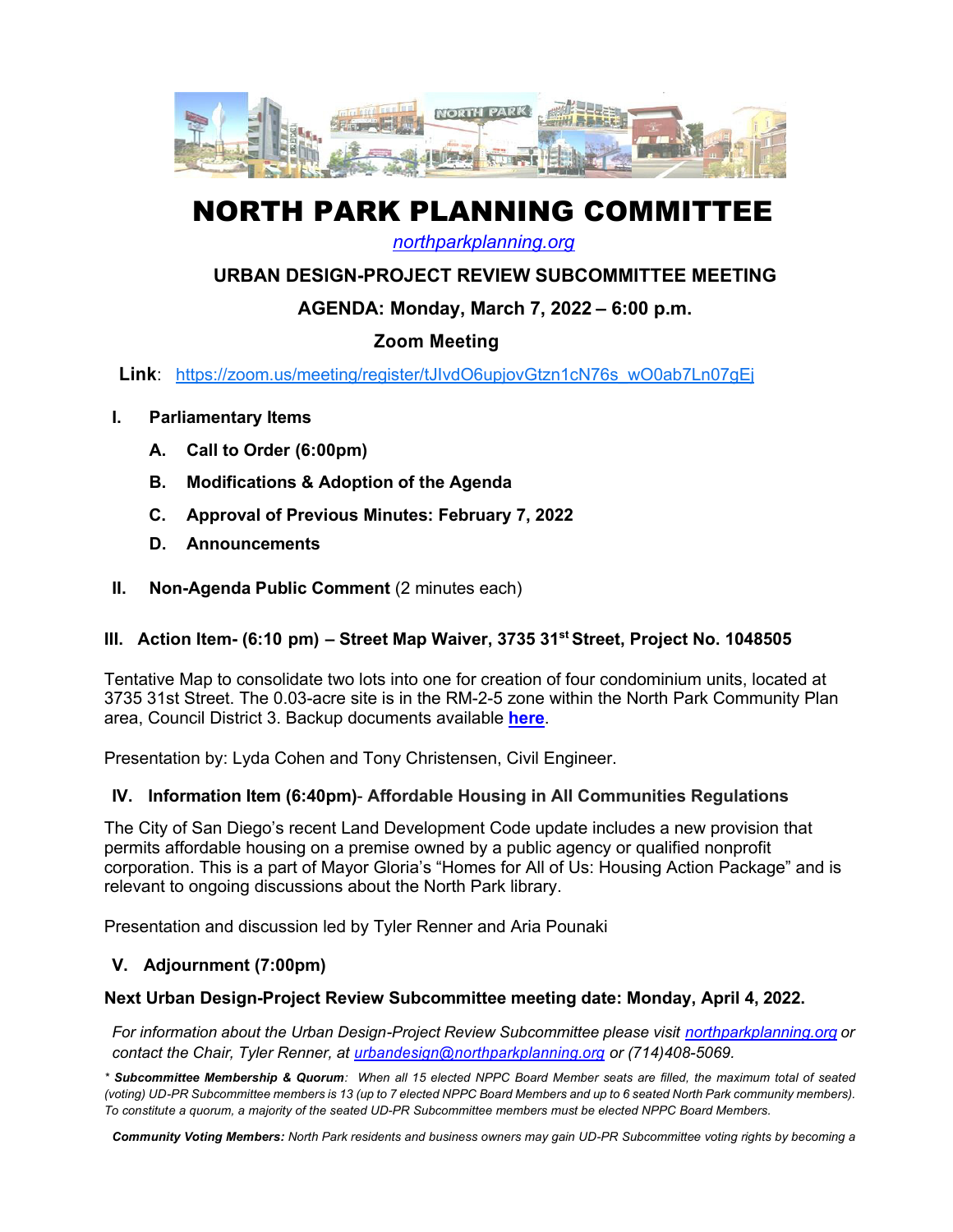

# NORTH PARK PLANNING COMMITTEE

*northparkplanning.org*

## **URBAN DESIGN-PROJECT REVIEW SUBCOMMITTEE MEETING**

## **AGENDA: Monday, March 7, 2022 – 6:00 p.m.**

# **Zoom Meeting**

**Link**: https://zoom.us/meeting/register/tJIvdO6upjovGtzn1cN76s\_wO0ab7Ln07gEj

- **I. Parliamentary Items**
	- **A. Call to Order (6:00pm)**
	- **B. Modifications & Adoption of the Agenda**
	- **C. Approval of Previous Minutes: February 7, 2022**
	- **D. Announcements**
- **II. Non-Agenda Public Comment** (2 minutes each)

### **III. Action Item- (6:10 pm) – Street Map Waiver, 3735 31st Street, Project No. 1048505**

Tentative Map to consolidate two lots into one for creation of four condominium units, located at 3735 31st Street. The 0.03-acre site is in the RM-2-5 zone within the North Park Community Plan area, Council District 3. Backup documents available **here**.

Presentation by: Lyda Cohen and Tony Christensen, Civil Engineer.

#### **IV. Information Item (6:40pm)**- **Affordable Housing in All Communities Regulations**

The City of San Diego's recent Land Development Code update includes a new provision that permits affordable housing on a premise owned by a public agency or qualified nonprofit corporation. This is a part of Mayor Gloria's "Homes for All of Us: Housing Action Package" and is relevant to ongoing discussions about the North Park library.

Presentation and discussion led by Tyler Renner and Aria Pounaki

### **V. Adjournment (7:00pm)**

#### **Next Urban Design-Project Review Subcommittee meeting date: Monday, April 4, 2022.**

*For information about the Urban Design-Project Review Subcommittee please visit northparkplanning.org or contact the Chair, Tyler Renner, at urbandesign@northparkplanning.org or (714)408-5069.* 

\* Subcommittee Membership & Quorum: When all 15 elected NPPC Board Member seats are filled, the maximum total of seated (voting) UD-PR Subcommittee members is 13 (up to 7 elected NPPC Board Members and up to 6 seated North Park community members). *To constitute a quorum, a majority of the seated UD-PR Subcommittee members must be elected NPPC Board Members.*

*Community Voting Members: North Park residents and business owners may gain UD-PR Subcommittee voting rights by becoming a*